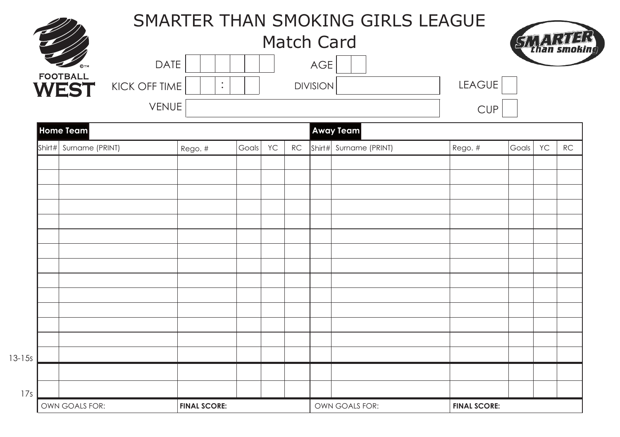|                                |               |                   |                     |    |               |                 | SMARTER THAN SMOKING GIRLS LEAGUE |               |                     |           |    |  |
|--------------------------------|---------------|-------------------|---------------------|----|---------------|-----------------|-----------------------------------|---------------|---------------------|-----------|----|--|
|                                |               | <b>Match Card</b> |                     |    |               |                 |                                   |               |                     |           |    |  |
|                                |               | <b>DATE</b>       |                     |    |               | AGE             |                                   |               |                     |           |    |  |
| <b>FOOTBALL</b><br><b>WEST</b> | KICK OFF TIME | $\vdots$          |                     |    |               | <b>DIVISION</b> |                                   | <b>LEAGUE</b> |                     |           |    |  |
|                                |               | <b>VENUE</b>      |                     |    |               |                 |                                   | <b>CUP</b>    |                     |           |    |  |
| <b>Home Team</b>               |               |                   |                     |    |               |                 | Away Team                         |               |                     |           |    |  |
| Shirt# Surname (PRINT)         |               | Rego. #           | Goals               | YC | $\mathsf{RC}$ |                 | Shirt# Surname (PRINT)            | Rego. #       | Goals               | <b>YC</b> | RC |  |
|                                |               |                   |                     |    |               |                 |                                   |               |                     |           |    |  |
|                                |               |                   |                     |    |               |                 |                                   |               |                     |           |    |  |
|                                |               |                   |                     |    |               |                 |                                   |               |                     |           |    |  |
|                                |               |                   |                     |    |               |                 |                                   |               |                     |           |    |  |
|                                |               |                   |                     |    |               |                 |                                   |               |                     |           |    |  |
|                                |               |                   |                     |    |               |                 |                                   |               |                     |           |    |  |
|                                |               |                   |                     |    |               |                 |                                   |               |                     |           |    |  |
|                                |               |                   |                     |    |               |                 |                                   |               |                     |           |    |  |
|                                |               |                   |                     |    |               |                 |                                   |               |                     |           |    |  |
|                                |               |                   |                     |    |               |                 |                                   |               |                     |           |    |  |
|                                |               |                   |                     |    |               |                 |                                   |               |                     |           |    |  |
|                                |               |                   |                     |    |               |                 |                                   |               |                     |           |    |  |
|                                |               |                   |                     |    |               |                 |                                   |               |                     |           |    |  |
|                                |               |                   |                     |    |               |                 |                                   |               |                     |           |    |  |
| OWN GOALS FOR:                 |               |                   | <b>FINAL SCORE:</b> |    |               |                 | OWN GOALS FOR:                    |               | <b>FINAL SCORE:</b> |           |    |  |